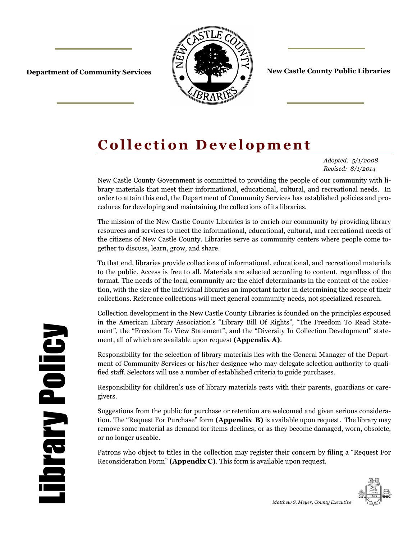

**Department of Community Services**  $\|\|\|\$  $\frac{1}{2}$  $\|\|\$  **New Castle County Public Libraries** 

# **Collection Development**

*Adopted: 5/1/2008 Revised: 8/1/2014* 

New Castle County Government is committed to providing the people of our community with library materials that meet their informational, educational, cultural, and recreational needs. In order to attain this end, the Department of Community Services has established policies and procedures for developing and maintaining the collections of its libraries.

The mission of the New Castle County Libraries is to enrich our community by providing library resources and services to meet the informational, educational, cultural, and recreational needs of the citizens of New Castle County. Libraries serve as community centers where people come together to discuss, learn, grow, and share.

To that end, libraries provide collections of informational, educational, and recreational materials to the public. Access is free to all. Materials are selected according to content, regardless of the format. The needs of the local community are the chief determinants in the content of the collection, with the size of the individual libraries an important factor in determining the scope of their collections. Reference collections will meet general community needs, not specialized research.

Collection development in the New Castle County Libraries is founded on the principles espoused in the American Library Association's "Library Bill Of Rights", "The Freedom To Read Statement", the "Freedom To View Statement", and the "Diversity In Collection Development" statement, all of which are available upon request **(Appendix A)**.

Responsibility for the selection of library materials lies with the General Manager of the Department of Community Services or his/her designee who may delegate selection authority to qualified staff. Selectors will use a number of established criteria to guide purchases.

Responsibility for children's use of library materials rests with their parents, guardians or caregivers.

Suggestions from the public for purchase or retention are welcomed and given serious consideration. The "Request For Purchase" form **(Appendix B)** is available upon request. The library may remove some material as demand for items declines; or as they become damaged, worn, obsolete, or no longer useable.

Patrons who object to titles in the collection may register their concern by filing a "Request For Reconsideration Form" **(Appendix C)**. This form is available upon request.



Library Policy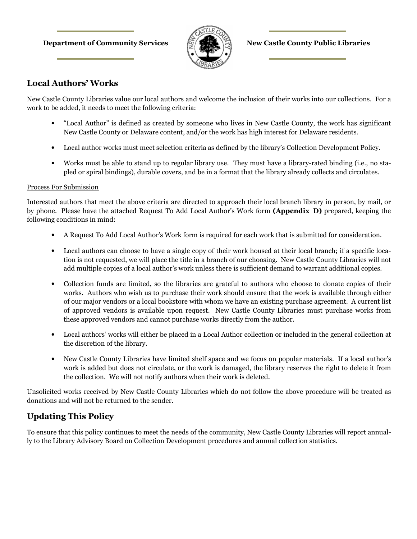

### **Local Authors' Works**

New Castle County Libraries value our local authors and welcome the inclusion of their works into our collections. For a work to be added, it needs to meet the following criteria:

- "Local Author" is defined as created by someone who lives in New Castle County, the work has significant New Castle County or Delaware content, and/or the work has high interest for Delaware residents.
- Local author works must meet selection criteria as defined by the library's Collection Development Policy.
- Works must be able to stand up to regular library use. They must have a library-rated binding (i.e., no stapled or spiral bindings), durable covers, and be in a format that the library already collects and circulates.

### Process For Submission

Interested authors that meet the above criteria are directed to approach their local branch library in person, by mail, or by phone. Please have the attached Request To Add Local Author's Work form **(Appendix D)** prepared, keeping the following conditions in mind:

- A Request To Add Local Author's Work form is required for each work that is submitted for consideration.
- Local authors can choose to have a single copy of their work housed at their local branch; if a specific location is not requested, we will place the title in a branch of our choosing. New Castle County Libraries will not add multiple copies of a local author's work unless there is sufficient demand to warrant additional copies.
- Collection funds are limited, so the libraries are grateful to authors who choose to donate copies of their works. Authors who wish us to purchase their work should ensure that the work is available through either of our major vendors or a local bookstore with whom we have an existing purchase agreement. A current list of approved vendors is available upon request. New Castle County Libraries must purchase works from these approved vendors and cannot purchase works directly from the author.
- Local authors' works will either be placed in a Local Author collection or included in the general collection at the discretion of the library.
- New Castle County Libraries have limited shelf space and we focus on popular materials. If a local author's work is added but does not circulate, or the work is damaged, the library reserves the right to delete it from the collection. We will not notify authors when their work is deleted.

Unsolicited works received by New Castle County Libraries which do not follow the above procedure will be treated as donations and will not be returned to the sender.

### **Updating This Policy**

To ensure that this policy continues to meet the needs of the community, New Castle County Libraries will report annually to the Library Advisory Board on Collection Development procedures and annual collection statistics.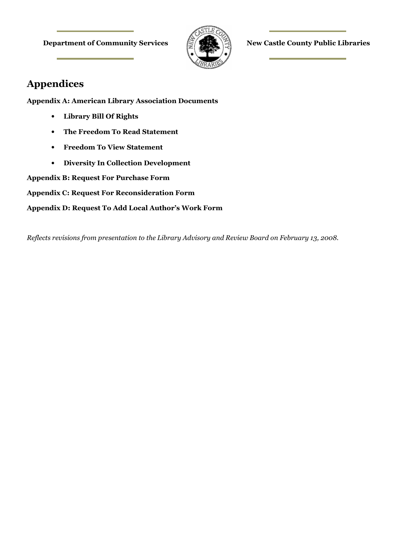### **Department of Community Services**  $\mathbb{S}/\mathbb{R}$  **New Castle County Public Libraries**



# **Appendices**

**Appendix A: American Library Association Documents** 

- **Library Bill Of Rights**
- **The Freedom To Read Statement**
- **Freedom To View Statement**
- **Diversity In Collection Development**

**Appendix B: Request For Purchase Form** 

**Appendix C: Request For Reconsideration Form** 

**Appendix D: Request To Add Local Author's Work Form**

*Reflects revisions from presentation to the Library Advisory and Review Board on February 13, 2008.*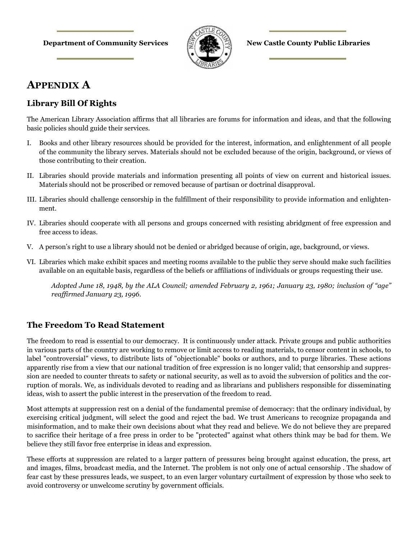

# **APPENDIX A**

### **Library Bill Of Rights**

The American Library Association affirms that all libraries are forums for information and ideas, and that the following basic policies should guide their services.

- I. Books and other library resources should be provided for the interest, information, and enlightenment of all people of the community the library serves. Materials should not be excluded because of the origin, background, or views of those contributing to their creation.
- II. Libraries should provide materials and information presenting all points of view on current and historical issues. Materials should not be proscribed or removed because of partisan or doctrinal disapproval.
- III. Libraries should challenge censorship in the fulfillment of their responsibility to provide information and enlightenment.
- IV. Libraries should cooperate with all persons and groups concerned with resisting abridgment of free expression and free access to ideas.
- V. A person's right to use a library should not be denied or abridged because of origin, age, background, or views.
- VI. Libraries which make exhibit spaces and meeting rooms available to the public they serve should make such facilities available on an equitable basis, regardless of the beliefs or affiliations of individuals or groups requesting their use.

*Adopted June 18, 1948, by the ALA Council; amended February 2, 1961; January 23, 1980; inclusion of "age" reaffirmed January 23, 1996.* 

### **The Freedom To Read Statement**

The freedom to read is essential to our democracy. It is continuously under attack. Private groups and public authorities in various parts of the country are working to remove or limit access to reading materials, to censor content in schools, to label "controversial" views, to distribute lists of "objectionable" books or authors, and to purge libraries. These actions apparently rise from a view that our national tradition of free expression is no longer valid; that censorship and suppression are needed to counter threats to safety or national security, as well as to avoid the subversion of politics and the corruption of morals. We, as individuals devoted to reading and as librarians and publishers responsible for disseminating ideas, wish to assert the public interest in the preservation of the freedom to read.

Most attempts at suppression rest on a denial of the fundamental premise of democracy: that the ordinary individual, by exercising critical judgment, will select the good and reject the bad. We trust Americans to recognize propaganda and misinformation, and to make their own decisions about what they read and believe. We do not believe they are prepared to sacrifice their heritage of a free press in order to be "protected" against what others think may be bad for them. We believe they still favor free enterprise in ideas and expression.

These efforts at suppression are related to a larger pattern of pressures being brought against education, the press, art and images, films, broadcast media, and the Internet. The problem is not only one of actual censorship . The shadow of fear cast by these pressures leads, we suspect, to an even larger voluntary curtailment of expression by those who seek to avoid controversy or unwelcome scrutiny by government officials.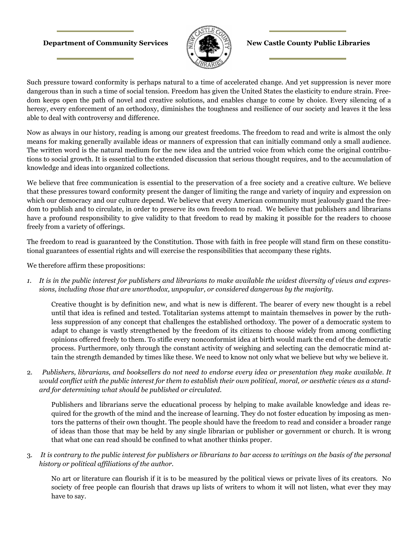### **Department of Community Services Algebraries New Castle County Public Libraries**



Such pressure toward conformity is perhaps natural to a time of accelerated change. And yet suppression is never more dangerous than in such a time of social tension. Freedom has given the United States the elasticity to endure strain. Freedom keeps open the path of novel and creative solutions, and enables change to come by choice. Every silencing of a heresy, every enforcement of an orthodoxy, diminishes the toughness and resilience of our society and leaves it the less able to deal with controversy and difference.

Now as always in our history, reading is among our greatest freedoms. The freedom to read and write is almost the only means for making generally available ideas or manners of expression that can initially command only a small audience. The written word is the natural medium for the new idea and the untried voice from which come the original contributions to social growth. It is essential to the extended discussion that serious thought requires, and to the accumulation of knowledge and ideas into organized collections.

We believe that free communication is essential to the preservation of a free society and a creative culture. We believe that these pressures toward conformity present the danger of limiting the range and variety of inquiry and expression on which our democracy and our culture depend. We believe that every American community must jealously guard the freedom to publish and to circulate, in order to preserve its own freedom to read. We believe that publishers and librarians have a profound responsibility to give validity to that freedom to read by making it possible for the readers to choose freely from a variety of offerings.

The freedom to read is guaranteed by the Constitution. Those with faith in free people will stand firm on these constitutional guarantees of essential rights and will exercise the responsibilities that accompany these rights.

We therefore affirm these propositions:

*1. It is in the public interest for publishers and librarians to make available the widest diversity of views and expressions, including those that are unorthodox, unpopular, or considered dangerous by the majority.* 

Creative thought is by definition new, and what is new is different. The bearer of every new thought is a rebel until that idea is refined and tested. Totalitarian systems attempt to maintain themselves in power by the ruthless suppression of any concept that challenges the established orthodoxy. The power of a democratic system to adapt to change is vastly strengthened by the freedom of its citizens to choose widely from among conflicting opinions offered freely to them. To stifle every nonconformist idea at birth would mark the end of the democratic process. Furthermore, only through the constant activity of weighing and selecting can the democratic mind attain the strength demanded by times like these. We need to know not only what we believe but why we believe it.

2. *Publishers, librarians, and booksellers do not need to endorse every idea or presentation they make available. It would conflict with the public interest for them to establish their own political, moral, or aesthetic views as a standard for determining what should be published or circulated.*

Publishers and librarians serve the educational process by helping to make available knowledge and ideas required for the growth of the mind and the increase of learning. They do not foster education by imposing as mentors the patterns of their own thought. The people should have the freedom to read and consider a broader range of ideas than those that may be held by any single librarian or publisher or government or church. It is wrong that what one can read should be confined to what another thinks proper.

3. *It is contrary to the public interest for publishers or librarians to bar access to writings on the basis of the personal history or political affiliations of the author.* 

No art or literature can flourish if it is to be measured by the political views or private lives of its creators. No society of free people can flourish that draws up lists of writers to whom it will not listen, what ever they may have to say.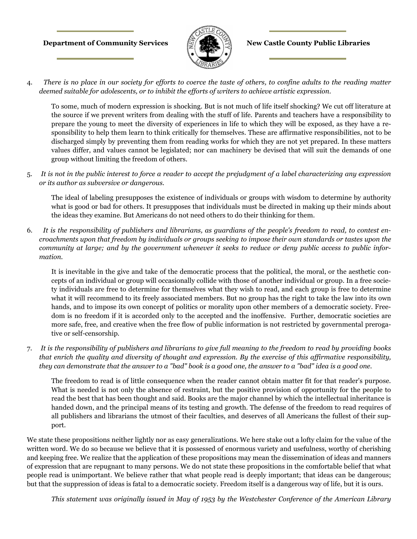

4. *There is no place in our society for efforts to coerce the taste of others, to confine adults to the reading matter deemed suitable for adolescents, or to inhibit the efforts of writers to achieve artistic expression.*

To some, much of modern expression is shocking. But is not much of life itself shocking? We cut off literature at the source if we prevent writers from dealing with the stuff of life. Parents and teachers have a responsibility to prepare the young to meet the diversity of experiences in life to which they will be exposed, as they have a responsibility to help them learn to think critically for themselves. These are affirmative responsibilities, not to be discharged simply by preventing them from reading works for which they are not yet prepared. In these matters values differ, and values cannot be legislated; nor can machinery be devised that will suit the demands of one group without limiting the freedom of others.

5. *It is not in the public interest to force a reader to accept the prejudgment of a label characterizing any expression or its author as subversive or dangerous.*

The ideal of labeling presupposes the existence of individuals or groups with wisdom to determine by authority what is good or bad for others. It presupposes that individuals must be directed in making up their minds about the ideas they examine. But Americans do not need others to do their thinking for them.

6. *It is the responsibility of publishers and librarians, as guardians of the people's freedom to read, to contest encroachments upon that freedom by individuals or groups seeking to impose their own standards or tastes upon the community at large; and by the government whenever it seeks to reduce or deny public access to public information.*

It is inevitable in the give and take of the democratic process that the political, the moral, or the aesthetic concepts of an individual or group will occasionally collide with those of another individual or group. In a free society individuals are free to determine for themselves what they wish to read, and each group is free to determine what it will recommend to its freely associated members. But no group has the right to take the law into its own hands, and to impose its own concept of politics or morality upon other members of a democratic society. Freedom is no freedom if it is accorded only to the accepted and the inoffensive. Further, democratic societies are more safe, free, and creative when the free flow of public information is not restricted by governmental prerogative or self-censorship.

7. *It is the responsibility of publishers and librarians to give full meaning to the freedom to read by providing books that enrich the quality and diversity of thought and expression. By the exercise of this affirmative responsibility, they can demonstrate that the answer to a "bad" book is a good one, the answer to a "bad" idea is a good one.*

The freedom to read is of little consequence when the reader cannot obtain matter fit for that reader's purpose. What is needed is not only the absence of restraint, but the positive provision of opportunity for the people to read the best that has been thought and said. Books are the major channel by which the intellectual inheritance is handed down, and the principal means of its testing and growth. The defense of the freedom to read requires of all publishers and librarians the utmost of their faculties, and deserves of all Americans the fullest of their support.

We state these propositions neither lightly nor as easy generalizations. We here stake out a lofty claim for the value of the written word. We do so because we believe that it is possessed of enormous variety and usefulness, worthy of cherishing and keeping free. We realize that the application of these propositions may mean the dissemination of ideas and manners of expression that are repugnant to many persons. We do not state these propositions in the comfortable belief that what people read is unimportant. We believe rather that what people read is deeply important; that ideas can be dangerous; but that the suppression of ideas is fatal to a democratic society. Freedom itself is a dangerous way of life, but it is ours.

*This statement was originally issued in May of 1953 by the Westchester Conference of the American Library*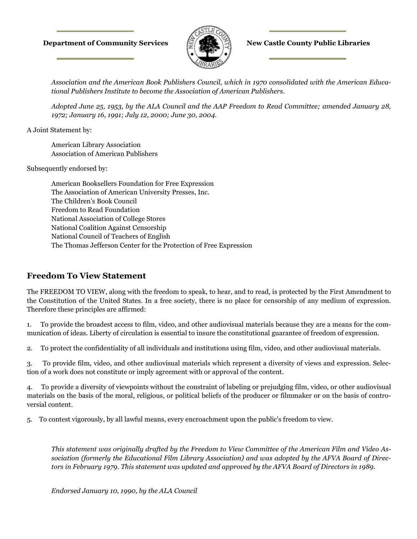### **Department of Community Services Algebraries New Castle County Public Libraries**



*Association and the American Book Publishers Council, which in 1970 consolidated with the American Educational Publishers Institute to become the Association of American Publishers.* 

*Adopted June 25, 1953, by the ALA Council and the AAP Freedom to Read Committee; amended January 28, 1972; January 16, 1991; July 12, 2000; June 30, 2004.* 

A Joint Statement by:

American Library Association Association of American Publishers

Subsequently endorsed by:

American Booksellers Foundation for Free Expression The Association of American University Presses, Inc. The Children's Book Council Freedom to Read Foundation National Association of College Stores National Coalition Against Censorship National Council of Teachers of English The Thomas Jefferson Center for the Protection of Free Expression

### **Freedom To View Statement**

The FREEDOM TO VIEW, along with the freedom to speak, to hear, and to read, is protected by the First Amendment to the Constitution of the United States. In a free society, there is no place for censorship of any medium of expression. Therefore these principles are affirmed:

1. To provide the broadest access to film, video, and other audiovisual materials because they are a means for the communication of ideas. Liberty of circulation is essential to insure the constitutional guarantee of freedom of expression.

2. To protect the confidentiality of all individuals and institutions using film, video, and other audiovisual materials.

3. To provide film, video, and other audiovisual materials which represent a diversity of views and expression. Selection of a work does not constitute or imply agreement with or approval of the content.

4. To provide a diversity of viewpoints without the constraint of labeling or prejudging film, video, or other audiovisual materials on the basis of the moral, religious, or political beliefs of the producer or filmmaker or on the basis of controversial content.

5. To contest vigorously, by all lawful means, every encroachment upon the public's freedom to view.

*This statement was originally drafted by the Freedom to View Committee of the American Film and Video Association (formerly the Educational Film Library Association) and was adopted by the AFVA Board of Directors in February 1979. This statement was updated and approved by the AFVA Board of Directors in 1989.*

*Endorsed January 10, 1990, by the ALA Council*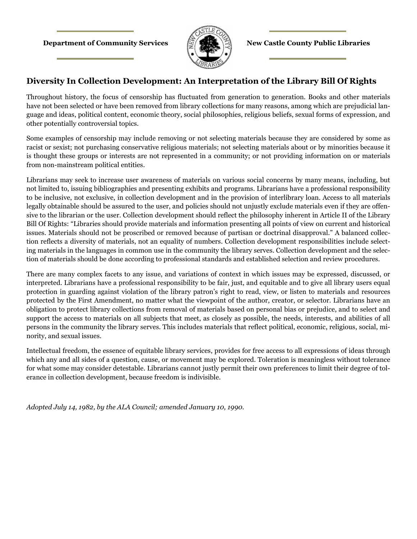

### **Diversity In Collection Development: An Interpretation of the Library Bill Of Rights**

Throughout history, the focus of censorship has fluctuated from generation to generation. Books and other materials have not been selected or have been removed from library collections for many reasons, among which are prejudicial language and ideas, political content, economic theory, social philosophies, religious beliefs, sexual forms of expression, and other potentially controversial topics.

Some examples of censorship may include removing or not selecting materials because they are considered by some as racist or sexist; not purchasing conservative religious materials; not selecting materials about or by minorities because it is thought these groups or interests are not represented in a community; or not providing information on or materials from non-mainstream political entities.

Librarians may seek to increase user awareness of materials on various social concerns by many means, including, but not limited to, issuing bibliographies and presenting exhibits and programs. Librarians have a professional responsibility to be inclusive, not exclusive, in collection development and in the provision of interlibrary loan. Access to all materials legally obtainable should be assured to the user, and policies should not unjustly exclude materials even if they are offensive to the librarian or the user. Collection development should reflect the philosophy inherent in Article II of the Library Bill Of Rights: "Libraries should provide materials and information presenting all points of view on current and historical issues. Materials should not be proscribed or removed because of partisan or doctrinal disapproval." A balanced collection reflects a diversity of materials, not an equality of numbers. Collection development responsibilities include selecting materials in the languages in common use in the community the library serves. Collection development and the selection of materials should be done according to professional standards and established selection and review procedures.

There are many complex facets to any issue, and variations of context in which issues may be expressed, discussed, or interpreted. Librarians have a professional responsibility to be fair, just, and equitable and to give all library users equal protection in guarding against violation of the library patron's right to read, view, or listen to materials and resources protected by the First Amendment, no matter what the viewpoint of the author, creator, or selector. Librarians have an obligation to protect library collections from removal of materials based on personal bias or prejudice, and to select and support the access to materials on all subjects that meet, as closely as possible, the needs, interests, and abilities of all persons in the community the library serves. This includes materials that reflect political, economic, religious, social, minority, and sexual issues.

Intellectual freedom, the essence of equitable library services, provides for free access to all expressions of ideas through which any and all sides of a question, cause, or movement may be explored. Toleration is meaningless without tolerance for what some may consider detestable. Librarians cannot justly permit their own preferences to limit their degree of tolerance in collection development, because freedom is indivisible.

*Adopted July 14, 1982, by the ALA Council; amended January 10, 1990.*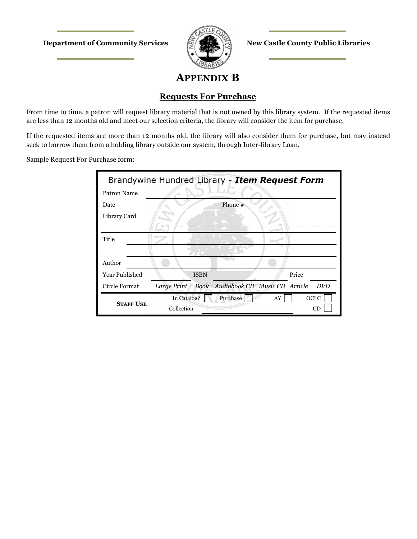

# **APPENDIX B**

### **Requests For Purchase**

From time to time, a patron will request library material that is not owned by this library system. If the requested items are less than 12 months old and meet our selection criteria, the library will consider the item for purchase.

If the requested items are more than 12 months old, the library will also consider them for purchase, but may instead seek to borrow them from a holding library outside our system, through Inter-library Loan.

Sample Request For Purchase form:

| Brandywine Hundred Library - Item Request Form |                                                            |            |  |
|------------------------------------------------|------------------------------------------------------------|------------|--|
| Patron Name                                    |                                                            |            |  |
| Date                                           | Phone #                                                    |            |  |
| Library Card                                   |                                                            |            |  |
| Title                                          |                                                            |            |  |
|                                                |                                                            |            |  |
| Author                                         |                                                            |            |  |
| Year Published                                 | Price<br><b>ISBN</b>                                       |            |  |
| Circle Format                                  | Audiobook CD Music CD Article<br>Large Print<br>Book       | <b>DVD</b> |  |
| <b>STAFF USE</b>                               | Purchase<br>In Catalog?<br>AY<br><b>OCLC</b><br>Collection | UD         |  |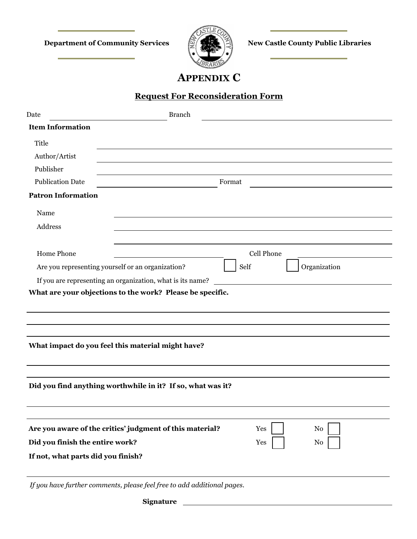

# **APPENDIX C**

# **Request For Reconsideration Form**

| Date                                              | <b>Branch</b>                                                               |  |
|---------------------------------------------------|-----------------------------------------------------------------------------|--|
| <b>Item Information</b>                           |                                                                             |  |
| Title                                             |                                                                             |  |
| Author/Artist                                     |                                                                             |  |
| Publisher                                         |                                                                             |  |
| <b>Publication Date</b>                           | Format                                                                      |  |
| <b>Patron Information</b>                         |                                                                             |  |
| Name                                              |                                                                             |  |
| Address                                           |                                                                             |  |
|                                                   |                                                                             |  |
| Home Phone                                        | Cell Phone                                                                  |  |
| Are you representing yourself or an organization? | Organization<br>Self                                                        |  |
|                                                   | If you are representing an organization, what is its name?                  |  |
|                                                   | What are your objections to the work? Please be specific.                   |  |
|                                                   |                                                                             |  |
|                                                   |                                                                             |  |
|                                                   |                                                                             |  |
| What impact do you feel this material might have? |                                                                             |  |
|                                                   |                                                                             |  |
|                                                   |                                                                             |  |
|                                                   | Did you find anything worthwhile in it? If so, what was it?                 |  |
|                                                   |                                                                             |  |
|                                                   |                                                                             |  |
|                                                   | Are you aware of the critics' judgment of this material?<br>$\rm No$<br>Yes |  |
| Did you finish the entire work?                   | Yes<br>N <sub>0</sub>                                                       |  |
| If not, what parts did you finish?                |                                                                             |  |
|                                                   |                                                                             |  |

*If you have further comments, please feel free to add additional pages.*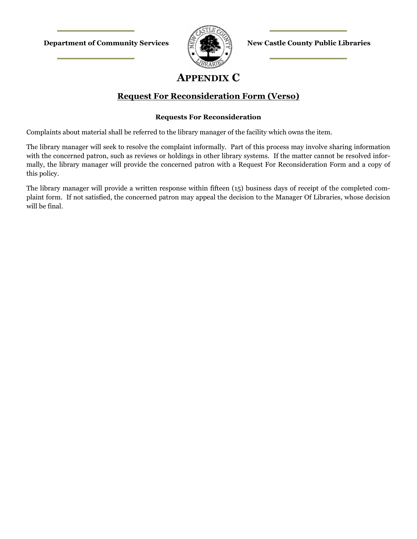**Department of Community Services**  $\mathbb{E}(\mathbf{R}|\mathbf{X})$  **New Castle County Public Libraries** 



# **APPENDIX C**

### **Request For Reconsideration Form (Verso)**

### **Requests For Reconsideration**

Complaints about material shall be referred to the library manager of the facility which owns the item.

The library manager will seek to resolve the complaint informally. Part of this process may involve sharing information with the concerned patron, such as reviews or holdings in other library systems. If the matter cannot be resolved informally, the library manager will provide the concerned patron with a Request For Reconsideration Form and a copy of this policy.

The library manager will provide a written response within fifteen (15) business days of receipt of the completed complaint form. If not satisfied, the concerned patron may appeal the decision to the Manager Of Libraries, whose decision will be final.